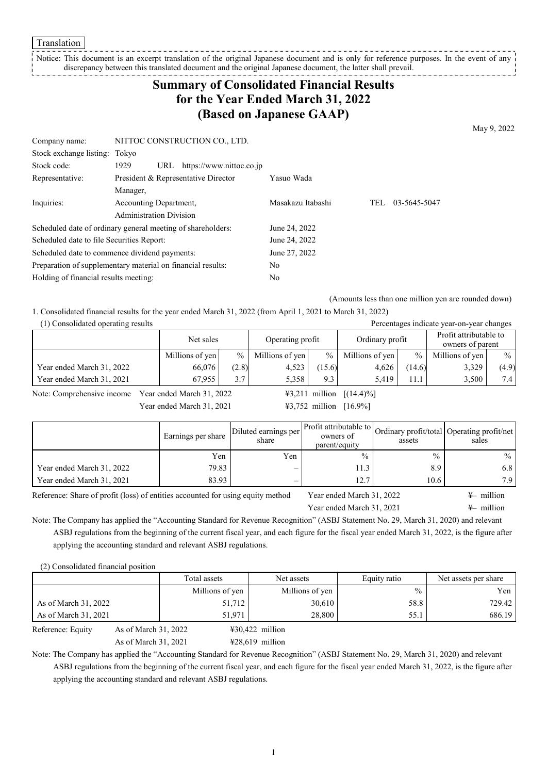Translation

Notice: This document is an excerpt translation of the original Japanese document and is only for reference purposes. In the event of any discrepancy between this translated document and the original Japanese document, the latter shall prevail. \_\_\_\_\_\_\_\_\_\_\_\_\_\_\_\_

# **Summary of Consolidated Financial Results for the Year Ended March 31, 2022 (Based on Japanese GAAP)**

May 9, 2022

| Company name:                                               |                                | NITTOC CONSTRUCTION CO., LTD.       |                   |     |              |
|-------------------------------------------------------------|--------------------------------|-------------------------------------|-------------------|-----|--------------|
| Stock exchange listing: Tokyo                               |                                |                                     |                   |     |              |
| Stock code:                                                 | 1929<br>URL                    | https://www.nittoc.co.jp            |                   |     |              |
| Representative:                                             |                                | President & Representative Director | Yasuo Wada        |     |              |
|                                                             | Manager,                       |                                     |                   |     |              |
| Inquiries:                                                  | Accounting Department,         |                                     | Masakazu Itabashi | TEL | 03-5645-5047 |
|                                                             | <b>Administration Division</b> |                                     |                   |     |              |
| Scheduled date of ordinary general meeting of shareholders: |                                |                                     | June 24, 2022     |     |              |
| Scheduled date to file Securities Report:                   |                                |                                     | June 24, 2022     |     |              |
| Scheduled date to commence dividend payments:               |                                |                                     | June 27, 2022     |     |              |
| Preparation of supplementary material on financial results: |                                |                                     | No                |     |              |
| Holding of financial results meeting:                       |                                |                                     | No                |     |              |

(Amounts less than one million yen are rounded down)

1. Consolidated financial results for the year ended March 31, 2022 (from April 1, 2021 to March 31, 2022)

| (1) Consolidated operating results |                         |       |                  |               |                 |               | Percentages indicate year-on-year changes  |       |
|------------------------------------|-------------------------|-------|------------------|---------------|-----------------|---------------|--------------------------------------------|-------|
|                                    | Net sales               |       | Operating profit |               | Ordinary profit |               | Profit attributable to<br>owners of parent |       |
|                                    | $\%$<br>Millions of yen |       | Millions of yen  | $\frac{0}{0}$ | Millions of yen | $\frac{0}{0}$ | Millions of yen                            | $\%$  |
| Year ended March 31, 2022          | 66.076                  | (2.8) | 4,523            | 15.6)         | 4.626           | (14.6)        | 3,329                                      | (4.9) |
| Year ended March 31, 2021          | 67.955                  | 3.7   | 5.358            | 9.3           | 5.419           | 11.1          | 3.500                                      | 7.4   |

Note: Comprehensive income Year ended March 31, 2022  $\qquad \qquad$  ¥3,211 million [(14.4)%]

Year ended March 31, 2021 ¥3,752 million [16.9%]

|                           | Earnings per share | Diluted earnings per<br>share | Profit attributable to<br>owners of<br>parent/equity | assets        | Ordinary profit/total Operating profit/net<br>sales |
|---------------------------|--------------------|-------------------------------|------------------------------------------------------|---------------|-----------------------------------------------------|
|                           | Yen                | Yen                           | $\frac{0}{0}$                                        | $\frac{0}{0}$ | $\%$                                                |
| Year ended March 31, 2022 | 79.83              | $\overline{\phantom{0}}$      | 11.3                                                 | 8.9           | 6.8                                                 |
| Year ended March 31, 2021 | 83.93              | $\overline{\phantom{0}}$      | 127                                                  | 10.6          | 7.9                                                 |

Reference: Share of profit (loss) of entities accounted for using equity method Year ended March 31, 2022  $\ast$ - million

Year ended March 31, 2021  $\qquad \qquad \text{#- million}$ 

Note: The Company has applied the "Accounting Standard for Revenue Recognition" (ASBJ Statement No. 29, March 31, 2020) and relevant ASBJ regulations from the beginning of the current fiscal year, and each figure for the fiscal year ended March 31, 2022, is the figure after applying the accounting standard and relevant ASBJ regulations.

(2) Consolidated financial position

|                                           | Total assets    | Net assets                | Equity ratio | Net assets per share |
|-------------------------------------------|-----------------|---------------------------|--------------|----------------------|
|                                           | Millions of yen | Millions of yen           | $\%$         | Yen 1                |
| As of March 31, 2022                      | 51,712          | 30,610                    | 58.8         | 729.42               |
| As of March 31, 2021                      | 51.971          | 28,800                    | 55.1         | 686.19               |
| As of March 31, 2022<br>Reference: Equity |                 | $\text{\#30,422}$ million |              |                      |

As of March 31, 2021 ¥28,619 million

Note: The Company has applied the "Accounting Standard for Revenue Recognition" (ASBJ Statement No. 29, March 31, 2020) and relevant ASBJ regulations from the beginning of the current fiscal year, and each figure for the fiscal year ended March 31, 2022, is the figure after applying the accounting standard and relevant ASBJ regulations.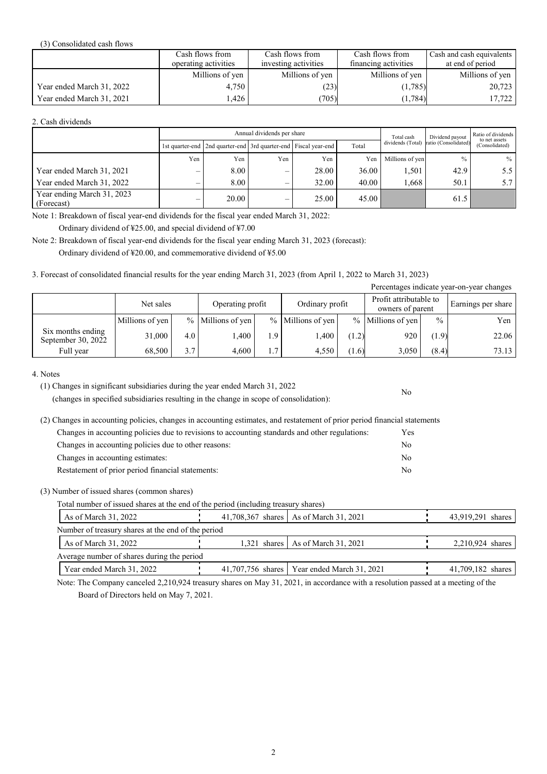#### (3) Consolidated cash flows

|                           | Cash flows from      | Cash flows from      | Cash flows from      | Cash and cash equivalents |
|---------------------------|----------------------|----------------------|----------------------|---------------------------|
|                           | operating activities | investing activities | financing activities | at end of period          |
|                           | Millions of yen      | Millions of yen      | Millions of yen      | Millions of yen           |
| Year ended March 31, 2022 | 4.750                | (23)                 | (1,785)              | 20,723                    |
| Year ended March 31, 2021 | .426                 | (705)                | (1,784)              | 17,722                    |

#### 2. Cash dividends

|                                          |     |                                                                 | Annual dividends per share | Total cash | Dividend payout | Ratio of dividends<br>to net assets |                      |                  |  |
|------------------------------------------|-----|-----------------------------------------------------------------|----------------------------|------------|-----------------|-------------------------------------|----------------------|------------------|--|
|                                          |     | 1st quarter-end 2nd quarter-end 3rd quarter-end Fiscal year-end |                            |            | Total           | dividends (Total)                   | ratio (Consolidated) | (Consolidated)   |  |
|                                          | Yen | Yen                                                             | Yen                        | Yen        | Yen             | Millions of yen                     | $\frac{0}{0}$        | $\%$             |  |
| Year ended March 31, 2021                |     | 8.00                                                            | —                          | 28.00      | 36.00           | 1,501                               | 42.9                 | 5.5              |  |
| Year ended March 31, 2022                |     | 8.00                                                            | –                          | 32.00      | 40.00           | 1,668                               | 50.1                 | 5.7 <sub>1</sub> |  |
| Year ending March 31, 2023<br>(Forecast) |     | 20.00                                                           | $\overline{\phantom{0}}$   | 25.00      | 45.00           |                                     | 61.5                 |                  |  |

Note 1: Breakdown of fiscal year-end dividends for the fiscal year ended March 31, 2022: Ordinary dividend of ¥25.00, and special dividend of ¥7.00

Note 2: Breakdown of fiscal year-end dividends for the fiscal year ending March 31, 2023 (forecast):

Ordinary dividend of ¥20.00, and commemorative dividend of ¥5.00

### 3. Forecast of consolidated financial results for the year ending March 31, 2023 (from April 1, 2022 to March 31, 2023)

| Percentages indicate year-on-year changes |                 |     |                   |     |                     |       |                                            |               |                    |  |  |
|-------------------------------------------|-----------------|-----|-------------------|-----|---------------------|-------|--------------------------------------------|---------------|--------------------|--|--|
|                                           | Net sales       |     | Operating profit  |     | Ordinary profit     |       | Profit attributable to<br>owners of parent |               | Earnings per share |  |  |
|                                           | Millions of yen |     | % Millions of yen |     | $%$ Millions of yen |       | $%$ Millions of yen                        | $\frac{0}{0}$ | Yen                |  |  |
| Six months ending<br>September 30, 2022   | 31,000          | 4.0 | .400              | 1.9 | 1,400               | (1.2) | 920                                        | (1.9)         | 22.06              |  |  |
| Full year                                 | 68.500          | 3.7 | 4.600             | 1.7 | 4.550               | (1.6) | 3.050                                      | (8.4)         | 73.13              |  |  |

No

4. Notes

(changes in specified subsidiaries resulting in the change in scope of consolidation):

(2) Changes in accounting policies, changes in accounting estimates, and restatement of prior period financial statements

| Changes in accounting policies due to revisions to accounting standards and other regulations: | Yes. |
|------------------------------------------------------------------------------------------------|------|
| Changes in accounting policies due to other reasons:                                           | No.  |
| Changes in accounting estimates:                                                               | No.  |
| Restatement of prior period financial statements:                                              | No.  |

(3) Number of issued shares (common shares)

Total number of issued shares at the end of the period (including treasury shares)

| As of March 31, 2022                               |  | 41,708,367 shares   As of March 31, 2021      | 43,919,291 shares |  |
|----------------------------------------------------|--|-----------------------------------------------|-------------------|--|
| Number of treasury shares at the end of the period |  |                                               |                   |  |
| As of March 31, 2022                               |  | 1,321 shares   As of March 31, 2021           | 2,210,924 shares  |  |
| Average number of shares during the period         |  |                                               |                   |  |
| Year ended March 31, 2022                          |  | 41,707,756 shares   Year ended March 31, 2021 | 41,709,182 shares |  |

Note: The Company canceled 2,210,924 treasury shares on May 31, 2021, in accordance with a resolution passed at a meeting of the Board of Directors held on May 7, 2021.

<sup>(1)</sup> Changes in significant subsidiaries during the year ended March 31, 2022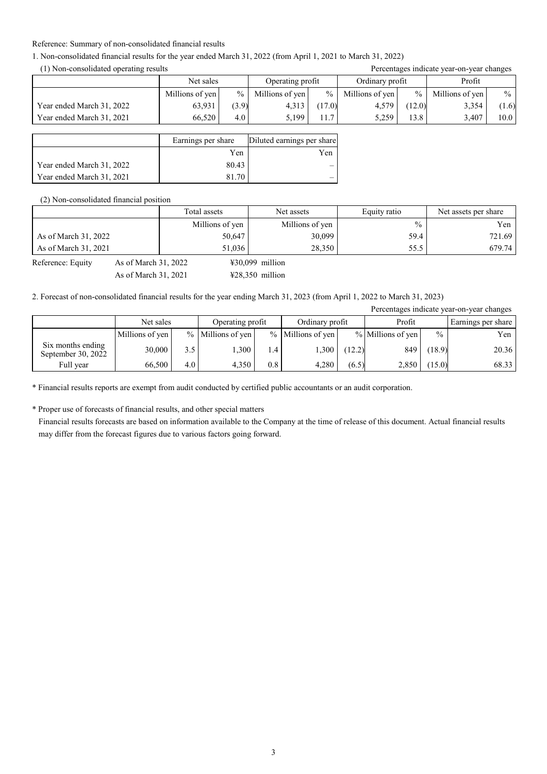#### Reference: Summary of non-consolidated financial results

### 1. Non-consolidated financial results for the year ended March 31, 2022 (from April 1, 2021 to March 31, 2022)

(1) Non-consolidated operating results Percentages indicate year-on-year changes

| $(1)$ . On consensation operating reserve |                 |               |                  |       | I siverproduced the same of the strain of the second strain and the second strain of the second strain of the s |        |                 |       |
|-------------------------------------------|-----------------|---------------|------------------|-------|-----------------------------------------------------------------------------------------------------------------|--------|-----------------|-------|
|                                           | Net sales       |               | Operating profit |       | Ordinary profit                                                                                                 |        | Profit          |       |
|                                           | Millions of yen | $\frac{0}{0}$ | Millions of yen  | $%$   | Millions of yen                                                                                                 | $\%$   | Millions of yen | $\%$  |
| Year ended March 31, 2022                 | 63,931          | (3.9)         | 4,313            | 17.0) | 4,579                                                                                                           | (12.0) | 3,354           | (1.6) |
| Year ended March 31, 2021                 | 66.520          | 4.0           | 5.199            | 11.7  | 5.259                                                                                                           | 13.8   | 3.407           | 10.0  |

|                           | Earnings per share | Diluted earnings per share |
|---------------------------|--------------------|----------------------------|
|                           | Yen                | Yen                        |
| Year ended March 31, 2022 | 80.43              |                            |
| Year ended March 31, 2021 | 81.70              |                            |

(2) Non-consolidated financial position

|                      | Total assets    | Net assets      | Equity ratio | Net assets per share |
|----------------------|-----------------|-----------------|--------------|----------------------|
|                      | Millions of yen | Millions of yen | $\%$         | Yen                  |
| As of March 31, 2022 | 50,647          | 30,099          | 59.4         | 721.69               |
| As of March 31, 2021 | 51,036          | 28,350          | 55.5         | 679.74               |

Reference: Equity As of March 31, 2022  $\text{\textdegree{}}\,30,099$  million

As of March 31, 2021  $\text{\#28,350}$  million

### 2. Forecast of non-consolidated financial results for the year ending March 31, 2023 (from April 1, 2022 to March 31, 2023)

|                                         |                 |     |                     |     |                   |        |                   |               | Percentages indicate year-on-year changes |
|-----------------------------------------|-----------------|-----|---------------------|-----|-------------------|--------|-------------------|---------------|-------------------------------------------|
|                                         | Net sales       |     | Operating profit    |     | Ordinary profit   |        | Profit            |               | Earnings per share                        |
|                                         | Millions of yen |     | $%$ Millions of yen |     | % Millions of yen |        | % Millions of yen | $\frac{0}{0}$ | Yen                                       |
| Six months ending<br>September 30, 2022 | 30,000          | 3.5 | .300                | 1.4 | 1,300             | (12.2) | 849               | (18.9)        | 20.36                                     |
| Full year                               | 66,500          | 4.0 | 4.350               | 0.8 | 4.280             | (6.5)  | 2,850             | (15.0)        | 68.33                                     |

\* Financial results reports are exempt from audit conducted by certified public accountants or an audit corporation.

\* Proper use of forecasts of financial results, and other special matters

Financial results forecasts are based on information available to the Company at the time of release of this document. Actual financial results may differ from the forecast figures due to various factors going forward.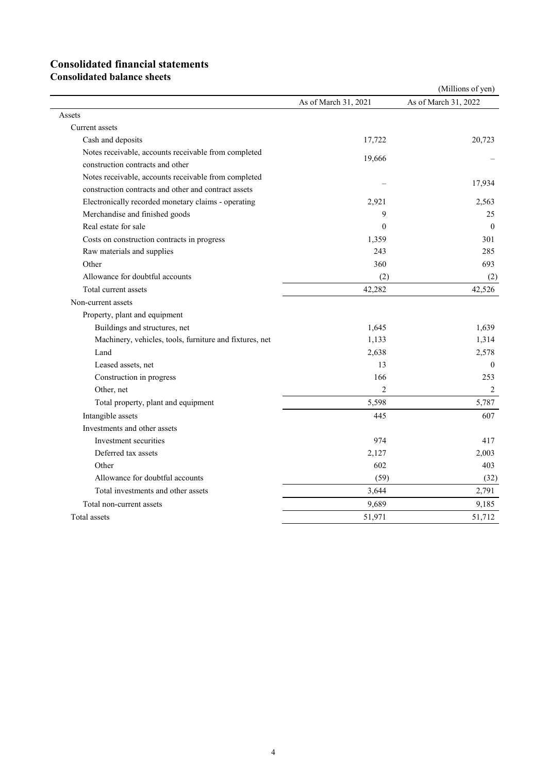# **Consolidated financial statements**

**Consolidated balance sheets**

|                                                         |                      | (Millions of yen)    |
|---------------------------------------------------------|----------------------|----------------------|
|                                                         | As of March 31, 2021 | As of March 31, 2022 |
| Assets                                                  |                      |                      |
| Current assets                                          |                      |                      |
| Cash and deposits                                       | 17,722               | 20,723               |
| Notes receivable, accounts receivable from completed    |                      |                      |
| construction contracts and other                        | 19,666               |                      |
| Notes receivable, accounts receivable from completed    |                      | 17,934               |
| construction contracts and other and contract assets    |                      |                      |
| Electronically recorded monetary claims - operating     | 2,921                | 2,563                |
| Merchandise and finished goods                          | 9                    | 25                   |
| Real estate for sale                                    | $\theta$             | $\mathbf{0}$         |
| Costs on construction contracts in progress             | 1,359                | 301                  |
| Raw materials and supplies                              | 243                  | 285                  |
| Other                                                   | 360                  | 693                  |
| Allowance for doubtful accounts                         | (2)                  | (2)                  |
| Total current assets                                    | 42,282               | 42,526               |
| Non-current assets                                      |                      |                      |
| Property, plant and equipment                           |                      |                      |
| Buildings and structures, net                           | 1,645                | 1.639                |
| Machinery, vehicles, tools, furniture and fixtures, net | 1,133                | 1,314                |
| Land                                                    | 2,638                | 2,578                |
| Leased assets, net                                      | 13                   | $\mathbf{0}$         |
| Construction in progress                                | 166                  | 253                  |
| Other, net                                              | $\overline{2}$       | 2                    |
| Total property, plant and equipment                     | 5,598                | 5,787                |
| Intangible assets                                       | 445                  | 607                  |
| Investments and other assets                            |                      |                      |
| Investment securities                                   | 974                  | 417                  |
| Deferred tax assets                                     | 2,127                | 2,003                |
| Other                                                   | 602                  | 403                  |
| Allowance for doubtful accounts                         | (59)                 | (32)                 |
| Total investments and other assets                      | 3,644                | 2,791                |
| Total non-current assets                                | 9,689                | 9,185                |
| Total assets                                            | 51,971               | 51,712               |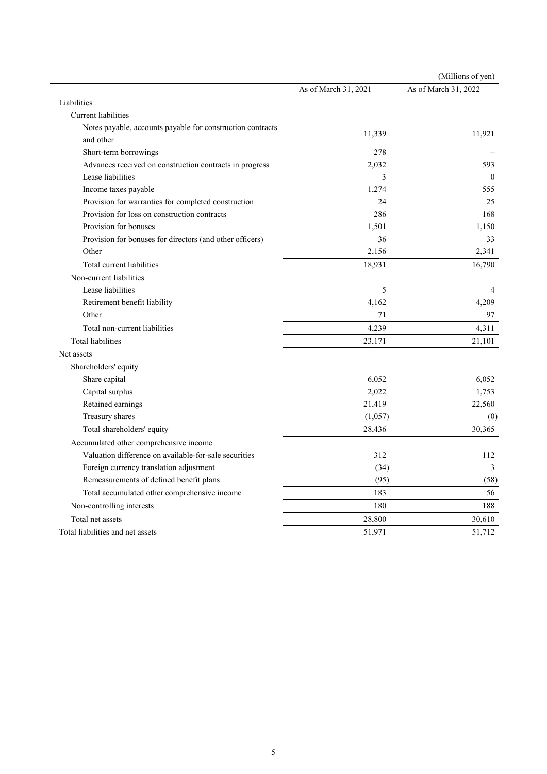|                                                            |                      | (Millions of yen)    |
|------------------------------------------------------------|----------------------|----------------------|
|                                                            | As of March 31, 2021 | As of March 31, 2022 |
| Liabilities                                                |                      |                      |
| Current liabilities                                        |                      |                      |
| Notes payable, accounts payable for construction contracts | 11,339               | 11,921               |
| and other                                                  |                      |                      |
| Short-term borrowings                                      | 278                  |                      |
| Advances received on construction contracts in progress    | 2,032                | 593                  |
| Lease liabilities                                          | 3                    | $\theta$             |
| Income taxes payable                                       | 1,274                | 555                  |
| Provision for warranties for completed construction        | 24                   | 25                   |
| Provision for loss on construction contracts               | 286                  | 168                  |
| Provision for bonuses                                      | 1,501                | 1,150                |
| Provision for bonuses for directors (and other officers)   | 36                   | 33                   |
| Other                                                      | 2,156                | 2,341                |
| Total current liabilities                                  | 18,931               | 16,790               |
| Non-current liabilities                                    |                      |                      |
| Lease liabilities                                          | 5                    | $\overline{4}$       |
| Retirement benefit liability                               | 4,162                | 4,209                |
| Other                                                      | 71                   | 97                   |
| Total non-current liabilities                              | 4,239                | 4,311                |
| Total liabilities                                          | 23,171               | 21,101               |
| Net assets                                                 |                      |                      |
| Shareholders' equity                                       |                      |                      |
| Share capital                                              | 6,052                | 6.052                |
| Capital surplus                                            | 2,022                | 1,753                |
| Retained earnings                                          | 21,419               | 22,560               |
| Treasury shares                                            | (1,057)              | (0)                  |
| Total shareholders' equity                                 | 28,436               | 30,365               |
| Accumulated other comprehensive income                     |                      |                      |
| Valuation difference on available-for-sale securities      | 312                  | 112                  |
| Foreign currency translation adjustment                    | (34)                 | 3                    |
| Remeasurements of defined benefit plans                    | (95)                 | (58)                 |
| Total accumulated other comprehensive income               | 183                  | 56                   |
| Non-controlling interests                                  | 180                  | 188                  |
| Total net assets                                           | 28,800               | 30,610               |
| Total liabilities and net assets                           | 51,971               | 51,712               |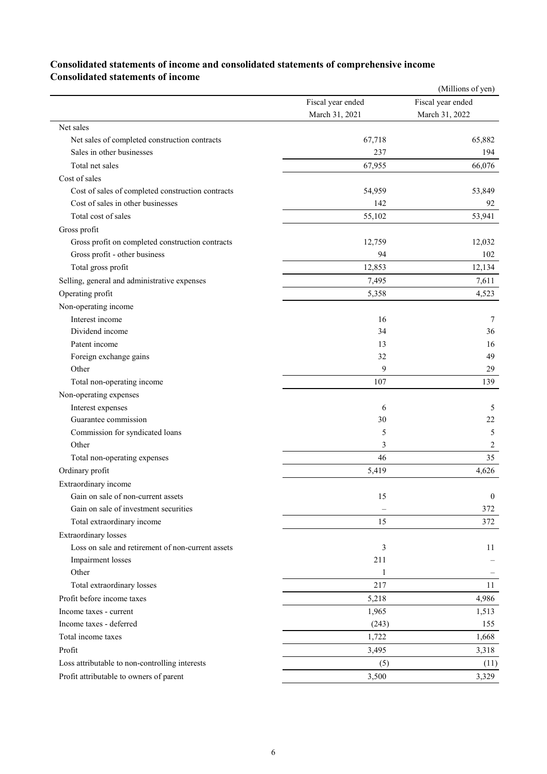### **Consolidated statements of income and consolidated statements of comprehensive income Consolidated statements of income**

|                                                   |                   | (Millions of yen) |
|---------------------------------------------------|-------------------|-------------------|
|                                                   | Fiscal year ended | Fiscal year ended |
|                                                   | March 31, 2021    | March 31, 2022    |
| Net sales                                         |                   |                   |
| Net sales of completed construction contracts     | 67,718            | 65,882            |
| Sales in other businesses                         | 237               | 194               |
| Total net sales                                   | 67,955            | 66,076            |
| Cost of sales                                     |                   |                   |
| Cost of sales of completed construction contracts | 54,959            | 53,849            |
| Cost of sales in other businesses                 | 142               | 92                |
| Total cost of sales                               | 55,102            | 53,941            |
| Gross profit                                      |                   |                   |
| Gross profit on completed construction contracts  | 12,759            | 12,032            |
| Gross profit - other business                     | 94                | 102               |
| Total gross profit                                | 12,853            | 12,134            |
| Selling, general and administrative expenses      | 7,495             | 7,611             |
| Operating profit                                  | 5,358             | 4,523             |
| Non-operating income                              |                   |                   |
| Interest income                                   | 16                | 7                 |
| Dividend income                                   | 34                | 36                |
| Patent income                                     | 13                | 16                |
| Foreign exchange gains                            | 32                | 49                |
| Other                                             | 9                 | 29                |
| Total non-operating income                        | 107               | 139               |
| Non-operating expenses                            |                   |                   |
| Interest expenses                                 | 6                 | 5                 |
| Guarantee commission                              | 30                | 22                |
| Commission for syndicated loans                   | 5                 | 5                 |
| Other                                             | 3                 | 2                 |
| Total non-operating expenses                      | 46                | 35                |
| Ordinary profit                                   | 5,419             | 4,626             |
| Extraordinary income                              |                   |                   |
| Gain on sale of non-current assets                | 15                | $\overline{0}$    |
| Gain on sale of investment securities             |                   | 372               |
| Total extraordinary income                        | 15                | 372               |
| <b>Extraordinary losses</b>                       |                   |                   |
| Loss on sale and retirement of non-current assets | 3                 | 11                |
| Impairment losses                                 | 211               |                   |
| Other                                             | 1                 |                   |
| Total extraordinary losses                        | 217               | 11                |
| Profit before income taxes                        | 5,218             | 4,986             |
| Income taxes - current                            | 1,965             | 1,513             |
| Income taxes - deferred                           | (243)             | 155               |
| Total income taxes                                | 1,722             | 1,668             |
| Profit                                            | 3,495             | 3,318             |
| Loss attributable to non-controlling interests    |                   |                   |
|                                                   | (5)               | (11)              |
| Profit attributable to owners of parent           | 3,500             | 3,329             |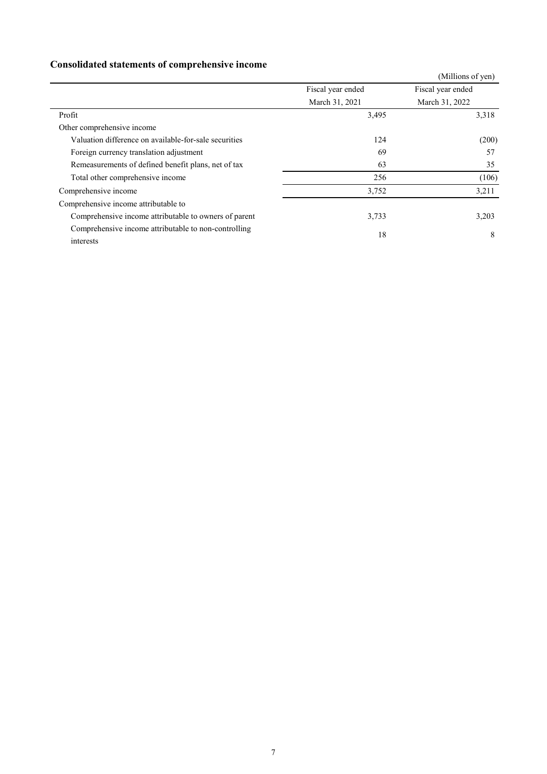## **Consolidated statements of comprehensive income**

|                                                                   |                   | (Millions of yen) |
|-------------------------------------------------------------------|-------------------|-------------------|
|                                                                   | Fiscal year ended | Fiscal year ended |
|                                                                   | March 31, 2021    | March 31, 2022    |
| Profit                                                            | 3,495             | 3,318             |
| Other comprehensive income                                        |                   |                   |
| Valuation difference on available-for-sale securities             | 124               | (200)             |
| Foreign currency translation adjustment                           | 69                | 57                |
| Remeasurements of defined benefit plans, net of tax               | 63                | 35                |
| Total other comprehensive income                                  | 256               | (106)             |
| Comprehensive income                                              | 3,752             | 3,211             |
| Comprehensive income attributable to                              |                   |                   |
| Comprehensive income attributable to owners of parent             | 3,733             | 3,203             |
| Comprehensive income attributable to non-controlling<br>interests | 18                | 8                 |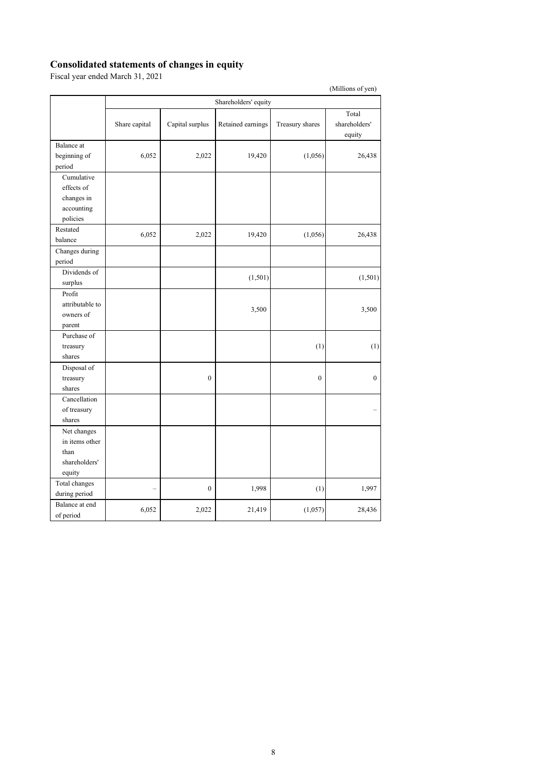### **Consolidated statements of changes in equity**

Fiscal year ended March 31, 2021

|                                                                  |               |                  | Shareholders' equity |                  |                                  |
|------------------------------------------------------------------|---------------|------------------|----------------------|------------------|----------------------------------|
|                                                                  | Share capital | Capital surplus  | Retained earnings    | Treasury shares  | Total<br>shareholders'<br>equity |
| Balance at<br>beginning of<br>period                             | 6,052         | 2,022            | 19,420               | (1,056)          | 26,438                           |
| Cumulative<br>effects of<br>changes in<br>accounting<br>policies |               |                  |                      |                  |                                  |
| Restated<br>balance                                              | 6,052         | 2,022            | 19,420               | (1,056)          | 26,438                           |
| Changes during<br>period                                         |               |                  |                      |                  |                                  |
| Dividends of<br>surplus                                          |               |                  | (1, 501)             |                  | (1,501)                          |
| Profit<br>attributable to<br>owners of<br>parent                 |               |                  | 3,500                |                  | 3,500                            |
| Purchase of<br>treasury<br>shares                                |               |                  |                      | (1)              | (1)                              |
| Disposal of<br>treasury<br>shares                                |               | $\boldsymbol{0}$ |                      | $\boldsymbol{0}$ | $\overline{0}$                   |
| Cancellation<br>of treasury<br>shares                            |               |                  |                      |                  |                                  |
| Net changes<br>in items other<br>than<br>shareholders'<br>equity |               |                  |                      |                  |                                  |
| Total changes<br>during period                                   |               | $\boldsymbol{0}$ | 1,998                | (1)              | 1,997                            |
| Balance at end<br>of period                                      | 6,052         | 2,022            | 21,419               | (1,057)          | 28,436                           |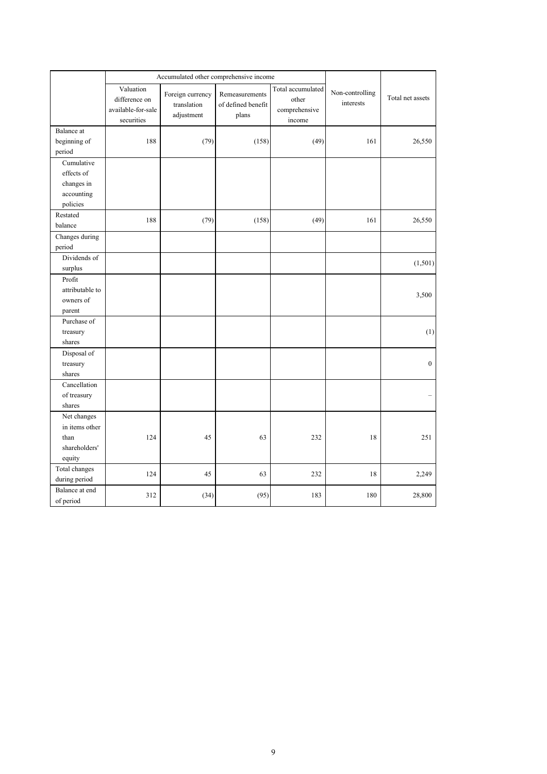|                 | Accumulated other comprehensive income                         |                                               |                                               |                                                       |                              |                  |
|-----------------|----------------------------------------------------------------|-----------------------------------------------|-----------------------------------------------|-------------------------------------------------------|------------------------------|------------------|
|                 | Valuation<br>difference on<br>available-for-sale<br>securities | Foreign currency<br>translation<br>adjustment | Remeasurements<br>of defined benefit<br>plans | Total accumulated<br>other<br>comprehensive<br>income | Non-controlling<br>interests | Total net assets |
| Balance at      |                                                                |                                               |                                               |                                                       |                              |                  |
| beginning of    | 188                                                            | (79)                                          | (158)                                         | (49)                                                  | 161                          | 26,550           |
| period          |                                                                |                                               |                                               |                                                       |                              |                  |
| Cumulative      |                                                                |                                               |                                               |                                                       |                              |                  |
| effects of      |                                                                |                                               |                                               |                                                       |                              |                  |
| changes in      |                                                                |                                               |                                               |                                                       |                              |                  |
| accounting      |                                                                |                                               |                                               |                                                       |                              |                  |
| policies        |                                                                |                                               |                                               |                                                       |                              |                  |
| Restated        | 188                                                            | (79)                                          | (158)                                         | (49)                                                  | 161                          | 26,550           |
| balance         |                                                                |                                               |                                               |                                                       |                              |                  |
| Changes during  |                                                                |                                               |                                               |                                                       |                              |                  |
| period          |                                                                |                                               |                                               |                                                       |                              |                  |
| Dividends of    |                                                                |                                               |                                               |                                                       |                              | (1,501)          |
| surplus         |                                                                |                                               |                                               |                                                       |                              |                  |
| Profit          |                                                                |                                               |                                               |                                                       |                              |                  |
| attributable to |                                                                |                                               |                                               |                                                       |                              | 3,500            |
| owners of       |                                                                |                                               |                                               |                                                       |                              |                  |
| parent          |                                                                |                                               |                                               |                                                       |                              |                  |
| Purchase of     |                                                                |                                               |                                               |                                                       |                              |                  |
| treasury        |                                                                |                                               |                                               |                                                       |                              | (1)              |
| shares          |                                                                |                                               |                                               |                                                       |                              |                  |
| Disposal of     |                                                                |                                               |                                               |                                                       |                              |                  |
| treasury        |                                                                |                                               |                                               |                                                       |                              | $\boldsymbol{0}$ |
| shares          |                                                                |                                               |                                               |                                                       |                              |                  |
| Cancellation    |                                                                |                                               |                                               |                                                       |                              |                  |
| of treasury     |                                                                |                                               |                                               |                                                       |                              |                  |
| shares          |                                                                |                                               |                                               |                                                       |                              |                  |
| Net changes     |                                                                |                                               |                                               |                                                       |                              |                  |
| in items other  |                                                                |                                               |                                               |                                                       |                              |                  |
| than            | 124                                                            | 45                                            | 63                                            | 232                                                   | 18                           | 251              |
| shareholders'   |                                                                |                                               |                                               |                                                       |                              |                  |
| equity          |                                                                |                                               |                                               |                                                       |                              |                  |
| Total changes   | 124                                                            | 45                                            | 63                                            | 232                                                   | 18                           | 2,249            |
| during period   |                                                                |                                               |                                               |                                                       |                              |                  |
| Balance at end  | 312                                                            | (34)                                          | (95)                                          | 183                                                   | 180                          | 28,800           |
| of period       |                                                                |                                               |                                               |                                                       |                              |                  |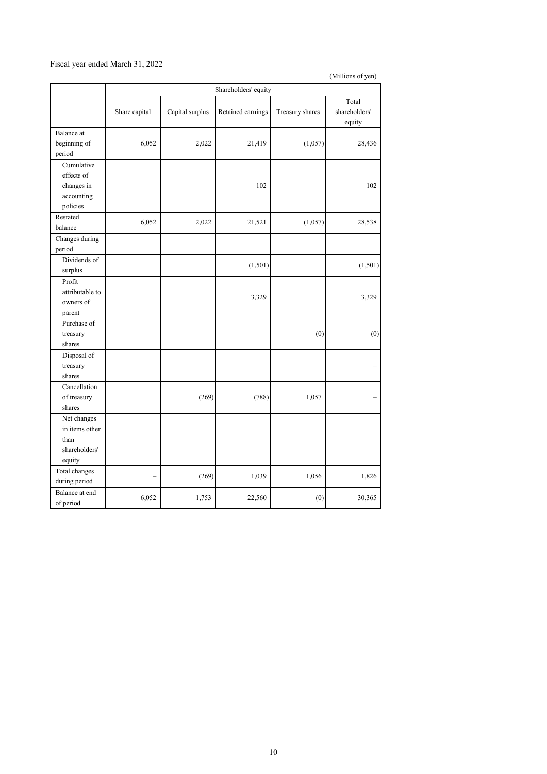### Fiscal year ended March 31, 2022

|                                                                  | Shareholders' equity     |                 |                   |                 |                                  |
|------------------------------------------------------------------|--------------------------|-----------------|-------------------|-----------------|----------------------------------|
|                                                                  | Share capital            | Capital surplus | Retained earnings | Treasury shares | Total<br>shareholders'<br>equity |
| Balance at<br>beginning of<br>period                             | 6,052                    | 2,022           | 21,419            | (1,057)         | 28,436                           |
| Cumulative<br>effects of<br>changes in<br>accounting<br>policies |                          |                 | 102               |                 | 102                              |
| Restated<br>balance                                              | 6,052                    | 2,022           | 21,521            | (1,057)         | 28,538                           |
| Changes during<br>period                                         |                          |                 |                   |                 |                                  |
| Dividends of<br>surplus                                          |                          |                 | (1,501)           |                 | (1,501)                          |
| Profit<br>attributable to<br>owners of<br>parent                 |                          |                 | 3,329             |                 | 3,329                            |
| Purchase of<br>treasury<br>shares                                |                          |                 |                   | (0)             | (0)                              |
| Disposal of<br>treasury<br>shares                                |                          |                 |                   |                 |                                  |
| Cancellation<br>of treasury<br>shares                            |                          | (269)           | (788)             | 1,057           |                                  |
| Net changes<br>in items other<br>than<br>shareholders'<br>equity |                          |                 |                   |                 |                                  |
| Total changes<br>during period                                   | $\overline{\phantom{0}}$ | (269)           | 1,039             | 1,056           | 1,826                            |
| Balance at end<br>of period                                      | 6,052                    | 1,753           | 22,560            | (0)             | 30,365                           |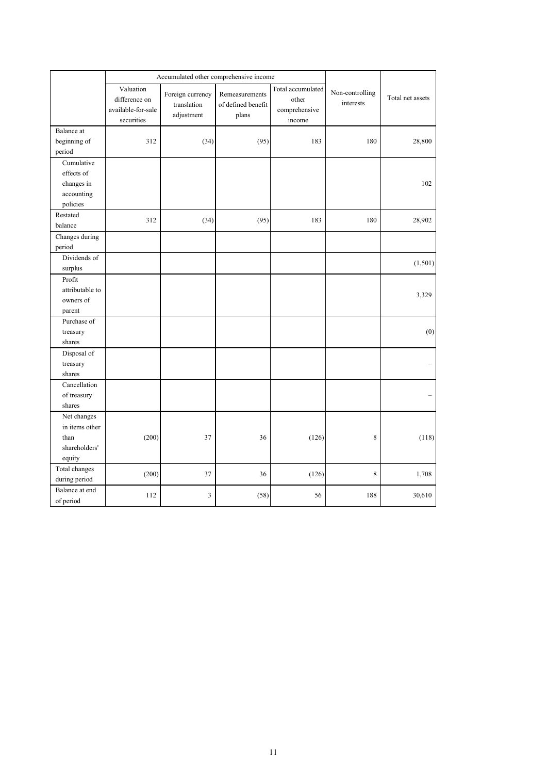|                 | Accumulated other comprehensive income                         |                                               |                                               |                                                       |                              |                  |
|-----------------|----------------------------------------------------------------|-----------------------------------------------|-----------------------------------------------|-------------------------------------------------------|------------------------------|------------------|
|                 | Valuation<br>difference on<br>available-for-sale<br>securities | Foreign currency<br>translation<br>adjustment | Remeasurements<br>of defined benefit<br>plans | Total accumulated<br>other<br>comprehensive<br>income | Non-controlling<br>interests | Total net assets |
| Balance at      |                                                                |                                               |                                               |                                                       |                              |                  |
| beginning of    | 312                                                            | (34)                                          | (95)                                          | 183                                                   | 180                          | 28,800           |
| period          |                                                                |                                               |                                               |                                                       |                              |                  |
| Cumulative      |                                                                |                                               |                                               |                                                       |                              |                  |
| effects of      |                                                                |                                               |                                               |                                                       |                              |                  |
| changes in      |                                                                |                                               |                                               |                                                       |                              | 102              |
| accounting      |                                                                |                                               |                                               |                                                       |                              |                  |
| policies        |                                                                |                                               |                                               |                                                       |                              |                  |
| Restated        | 312                                                            | (34)                                          | (95)                                          | 183                                                   | 180                          | 28,902           |
| balance         |                                                                |                                               |                                               |                                                       |                              |                  |
| Changes during  |                                                                |                                               |                                               |                                                       |                              |                  |
| period          |                                                                |                                               |                                               |                                                       |                              |                  |
| Dividends of    |                                                                |                                               |                                               |                                                       |                              | (1,501)          |
| surplus         |                                                                |                                               |                                               |                                                       |                              |                  |
| Profit          |                                                                |                                               |                                               |                                                       |                              |                  |
| attributable to |                                                                |                                               |                                               |                                                       |                              | 3,329            |
| owners of       |                                                                |                                               |                                               |                                                       |                              |                  |
| parent          |                                                                |                                               |                                               |                                                       |                              |                  |
| Purchase of     |                                                                |                                               |                                               |                                                       |                              |                  |
| treasury        |                                                                |                                               |                                               |                                                       |                              | (0)              |
| shares          |                                                                |                                               |                                               |                                                       |                              |                  |
| Disposal of     |                                                                |                                               |                                               |                                                       |                              |                  |
| treasury        |                                                                |                                               |                                               |                                                       |                              |                  |
| shares          |                                                                |                                               |                                               |                                                       |                              |                  |
| Cancellation    |                                                                |                                               |                                               |                                                       |                              |                  |
| of treasury     |                                                                |                                               |                                               |                                                       |                              |                  |
| shares          |                                                                |                                               |                                               |                                                       |                              |                  |
| Net changes     |                                                                |                                               |                                               |                                                       |                              |                  |
| in items other  |                                                                |                                               |                                               |                                                       |                              |                  |
| than            | (200)                                                          | 37                                            | 36                                            | (126)                                                 | 8                            | (118)            |
| shareholders'   |                                                                |                                               |                                               |                                                       |                              |                  |
| equity          |                                                                |                                               |                                               |                                                       |                              |                  |
| Total changes   | (200)                                                          | 37                                            | 36                                            | (126)                                                 | 8                            | 1,708            |
| during period   |                                                                |                                               |                                               |                                                       |                              |                  |
| Balance at end  | 112                                                            | 3                                             | (58)                                          | 56                                                    | 188                          | 30,610           |
| of period       |                                                                |                                               |                                               |                                                       |                              |                  |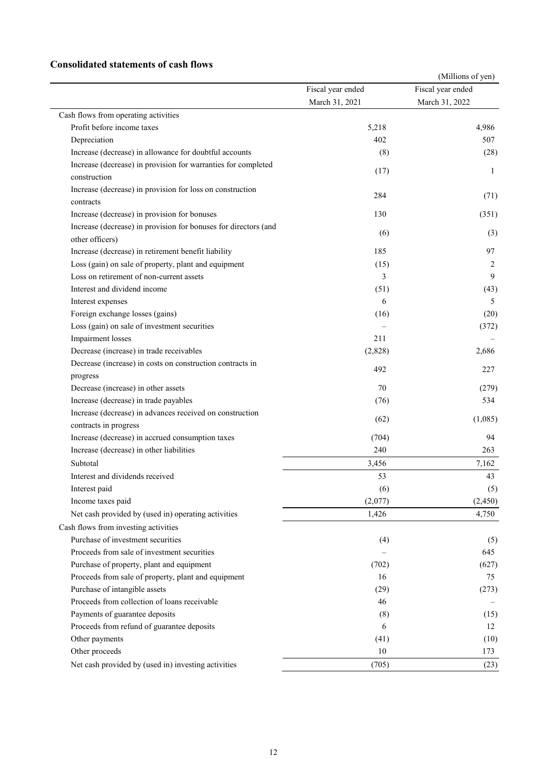### **Consolidated statements of cash flows**

|                                                                 |                   | (Millions of yen) |
|-----------------------------------------------------------------|-------------------|-------------------|
|                                                                 | Fiscal year ended | Fiscal year ended |
|                                                                 | March 31, 2021    | March 31, 2022    |
| Cash flows from operating activities                            |                   |                   |
| Profit before income taxes                                      | 5,218             | 4,986             |
| Depreciation                                                    | 402               | 507               |
| Increase (decrease) in allowance for doubtful accounts          | (8)               | (28)              |
| Increase (decrease) in provision for warranties for completed   | (17)              | 1                 |
| construction                                                    |                   |                   |
| Increase (decrease) in provision for loss on construction       | 284               | (71)              |
| contracts                                                       |                   |                   |
| Increase (decrease) in provision for bonuses                    | 130               | (351)             |
| Increase (decrease) in provision for bonuses for directors (and | (6)               | (3)               |
| other officers)                                                 |                   |                   |
| Increase (decrease) in retirement benefit liability             | 185               | 97                |
| Loss (gain) on sale of property, plant and equipment            | (15)              | 2                 |
| Loss on retirement of non-current assets                        | 3                 | 9                 |
| Interest and dividend income                                    | (51)              | (43)              |
| Interest expenses                                               | 6                 | 5                 |
| Foreign exchange losses (gains)                                 | (16)              | (20)              |
| Loss (gain) on sale of investment securities                    |                   | (372)             |
| Impairment losses                                               | 211               |                   |
| Decrease (increase) in trade receivables                        | (2,828)           | 2,686             |
| Decrease (increase) in costs on construction contracts in       | 492               | 227               |
| progress                                                        |                   |                   |
| Decrease (increase) in other assets                             | 70                | (279)             |
| Increase (decrease) in trade payables                           | (76)              | 534               |
| Increase (decrease) in advances received on construction        | (62)              | (1,085)           |
| contracts in progress                                           |                   |                   |
| Increase (decrease) in accrued consumption taxes                | (704)             | 94                |
| Increase (decrease) in other liabilities                        | 240               | 263               |
| Subtotal                                                        | 3,456             | 7,162             |
| Interest and dividends received                                 | 53                | 43                |
| Interest paid                                                   | (6)               | (5)               |
| Income taxes paid                                               | (2,077)           | (2, 450)          |
| Net cash provided by (used in) operating activities             | 1,426             | 4,750             |
| Cash flows from investing activities                            |                   |                   |
| Purchase of investment securities                               | (4)               | (5)               |
| Proceeds from sale of investment securities                     |                   | 645               |
| Purchase of property, plant and equipment                       | (702)             | (627)             |
| Proceeds from sale of property, plant and equipment             | 16                | 75                |
| Purchase of intangible assets                                   | (29)              | (273)             |
| Proceeds from collection of loans receivable                    | 46                |                   |
| Payments of guarantee deposits                                  | (8)               | (15)              |
| Proceeds from refund of guarantee deposits                      | 6                 | 12                |
| Other payments                                                  | (41)              | (10)              |
| Other proceeds                                                  | $10\,$            | 173               |
| Net cash provided by (used in) investing activities             | (705)             | (23)              |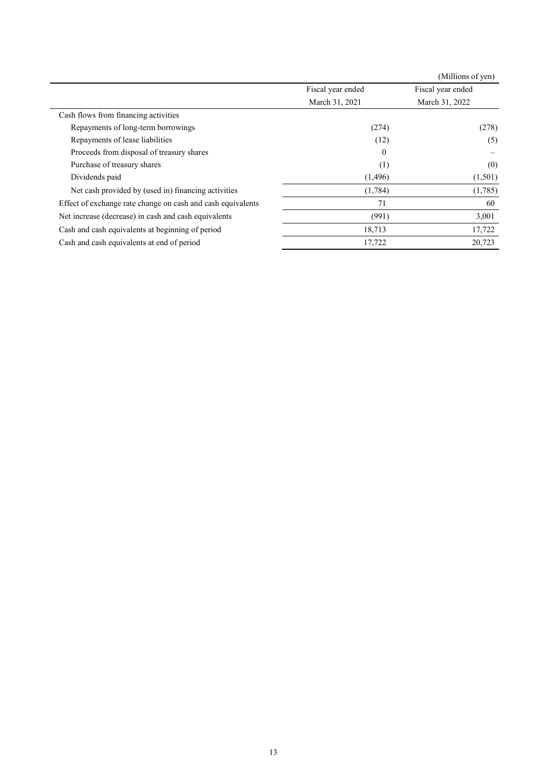|                                                             |                   | (Millions of yen) |
|-------------------------------------------------------------|-------------------|-------------------|
|                                                             | Fiscal year ended | Fiscal year ended |
|                                                             | March 31, 2021    | March 31, 2022    |
| Cash flows from financing activities                        |                   |                   |
| Repayments of long-term borrowings                          | (274)             | (278)             |
| Repayments of lease liabilities                             | (12)              | (5)               |
| Proceeds from disposal of treasury shares                   | $\Omega$          |                   |
| Purchase of treasury shares                                 | (1)               | (0)               |
| Dividends paid                                              | (1,496)           | (1,501)           |
| Net cash provided by (used in) financing activities         | (1,784)           | (1,785)           |
| Effect of exchange rate change on cash and cash equivalents | 71                | 60                |
| Net increase (decrease) in cash and cash equivalents        | (991)             | 3,001             |
| Cash and cash equivalents at beginning of period            | 18,713            | 17,722            |
| Cash and cash equivalents at end of period                  | 17,722            | 20,723            |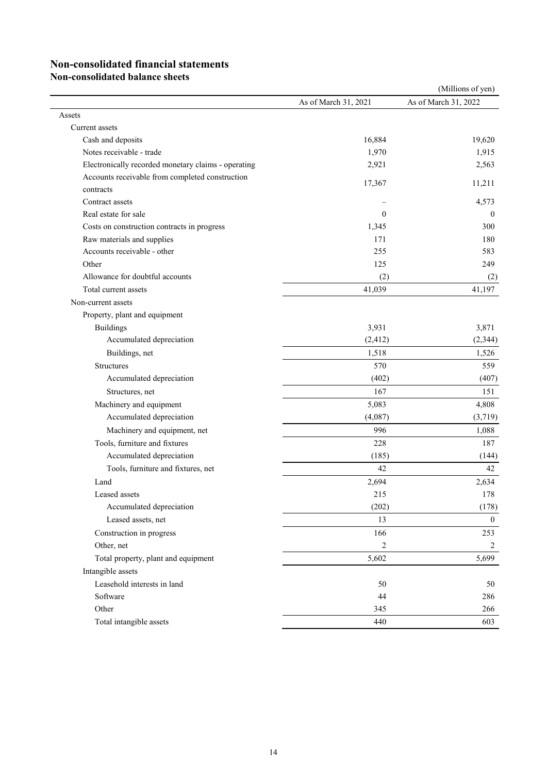# **Non-consolidated financial statements**

**Non-consolidated balance sheets**

| As of March 31, 2022<br>As of March 31, 2021<br>Assets<br>Current assets<br>16,884<br>Cash and deposits<br>Notes receivable - trade<br>1,970<br>Electronically recorded monetary claims - operating<br>2,921<br>Accounts receivable from completed construction<br>17,367<br>11,211<br>contracts<br>Contract assets<br>Real estate for sale<br>$\mathbf{0}$<br>Costs on construction contracts in progress<br>1,345<br>Raw materials and supplies<br>171<br>Accounts receivable - other<br>255 |       |     | (Millions of yen) |
|------------------------------------------------------------------------------------------------------------------------------------------------------------------------------------------------------------------------------------------------------------------------------------------------------------------------------------------------------------------------------------------------------------------------------------------------------------------------------------------------|-------|-----|-------------------|
|                                                                                                                                                                                                                                                                                                                                                                                                                                                                                                |       |     |                   |
|                                                                                                                                                                                                                                                                                                                                                                                                                                                                                                |       |     |                   |
|                                                                                                                                                                                                                                                                                                                                                                                                                                                                                                |       |     |                   |
|                                                                                                                                                                                                                                                                                                                                                                                                                                                                                                |       |     | 19,620            |
|                                                                                                                                                                                                                                                                                                                                                                                                                                                                                                |       |     | 1,915             |
|                                                                                                                                                                                                                                                                                                                                                                                                                                                                                                |       |     | 2,563             |
|                                                                                                                                                                                                                                                                                                                                                                                                                                                                                                |       |     |                   |
|                                                                                                                                                                                                                                                                                                                                                                                                                                                                                                |       |     |                   |
|                                                                                                                                                                                                                                                                                                                                                                                                                                                                                                |       |     | 4,573             |
|                                                                                                                                                                                                                                                                                                                                                                                                                                                                                                |       |     | $\theta$          |
|                                                                                                                                                                                                                                                                                                                                                                                                                                                                                                |       |     | 300               |
|                                                                                                                                                                                                                                                                                                                                                                                                                                                                                                |       |     | 180               |
|                                                                                                                                                                                                                                                                                                                                                                                                                                                                                                |       |     | 583               |
|                                                                                                                                                                                                                                                                                                                                                                                                                                                                                                | Other | 125 | 249               |
| Allowance for doubtful accounts<br>(2)                                                                                                                                                                                                                                                                                                                                                                                                                                                         |       |     | (2)               |
| 41,039<br>Total current assets                                                                                                                                                                                                                                                                                                                                                                                                                                                                 |       |     | 41,197            |
| Non-current assets                                                                                                                                                                                                                                                                                                                                                                                                                                                                             |       |     |                   |
| Property, plant and equipment                                                                                                                                                                                                                                                                                                                                                                                                                                                                  |       |     |                   |
| 3,931<br><b>Buildings</b>                                                                                                                                                                                                                                                                                                                                                                                                                                                                      |       |     | 3,871             |
| Accumulated depreciation<br>(2, 412)                                                                                                                                                                                                                                                                                                                                                                                                                                                           |       |     | (2, 344)          |
| Buildings, net<br>1,518                                                                                                                                                                                                                                                                                                                                                                                                                                                                        |       |     | 1,526             |
| <b>Structures</b><br>570                                                                                                                                                                                                                                                                                                                                                                                                                                                                       |       |     | 559               |
| Accumulated depreciation<br>(402)                                                                                                                                                                                                                                                                                                                                                                                                                                                              |       |     | (407)             |
| 167<br>Structures, net                                                                                                                                                                                                                                                                                                                                                                                                                                                                         |       |     | 151               |
| Machinery and equipment<br>5,083                                                                                                                                                                                                                                                                                                                                                                                                                                                               |       |     | 4,808             |
| Accumulated depreciation<br>(4,087)                                                                                                                                                                                                                                                                                                                                                                                                                                                            |       |     | (3,719)           |
| Machinery and equipment, net<br>996                                                                                                                                                                                                                                                                                                                                                                                                                                                            |       |     | 1,088             |
| Tools, furniture and fixtures<br>228                                                                                                                                                                                                                                                                                                                                                                                                                                                           |       |     | 187               |
| Accumulated depreciation<br>(185)                                                                                                                                                                                                                                                                                                                                                                                                                                                              |       |     | (144)             |
| Tools, furniture and fixtures, net<br>42                                                                                                                                                                                                                                                                                                                                                                                                                                                       |       |     | 42                |
| Land<br>2,694                                                                                                                                                                                                                                                                                                                                                                                                                                                                                  |       |     | 2,634             |
| Leased assets<br>215                                                                                                                                                                                                                                                                                                                                                                                                                                                                           |       |     | 178               |
| Accumulated depreciation<br>(202)                                                                                                                                                                                                                                                                                                                                                                                                                                                              |       |     | (178)             |
| Leased assets, net<br>13                                                                                                                                                                                                                                                                                                                                                                                                                                                                       |       |     | $\overline{0}$    |
| Construction in progress<br>166                                                                                                                                                                                                                                                                                                                                                                                                                                                                |       |     | 253               |
| Other, net<br>$\overline{c}$                                                                                                                                                                                                                                                                                                                                                                                                                                                                   |       |     | $\overline{c}$    |
| 5,602<br>Total property, plant and equipment                                                                                                                                                                                                                                                                                                                                                                                                                                                   |       |     | 5,699             |
| Intangible assets                                                                                                                                                                                                                                                                                                                                                                                                                                                                              |       |     |                   |
| Leasehold interests in land<br>50                                                                                                                                                                                                                                                                                                                                                                                                                                                              |       |     | 50                |
| Software<br>44                                                                                                                                                                                                                                                                                                                                                                                                                                                                                 |       |     | 286               |
| Other<br>345                                                                                                                                                                                                                                                                                                                                                                                                                                                                                   |       |     | 266               |
| Total intangible assets<br>440                                                                                                                                                                                                                                                                                                                                                                                                                                                                 |       |     | 603               |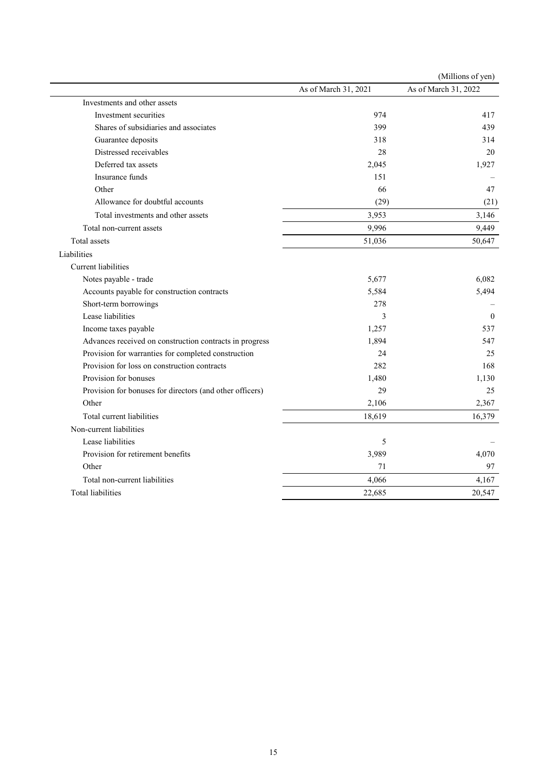|                                                          |                      | (Millions of yen)    |
|----------------------------------------------------------|----------------------|----------------------|
|                                                          | As of March 31, 2021 | As of March 31, 2022 |
| Investments and other assets                             |                      |                      |
| Investment securities                                    | 974                  | 417                  |
| Shares of subsidiaries and associates                    | 399                  | 439                  |
| Guarantee deposits                                       | 318                  | 314                  |
| Distressed receivables                                   | 28                   | 20                   |
| Deferred tax assets                                      | 2,045                | 1,927                |
| Insurance funds                                          | 151                  |                      |
| Other                                                    | 66                   | 47                   |
| Allowance for doubtful accounts                          | (29)                 | (21)                 |
| Total investments and other assets                       | 3,953                | 3,146                |
| Total non-current assets                                 | 9,996                | 9,449                |
| Total assets                                             | 51,036               | 50,647               |
| Liabilities                                              |                      |                      |
| <b>Current</b> liabilities                               |                      |                      |
| Notes payable - trade                                    | 5,677                | 6,082                |
| Accounts payable for construction contracts              | 5,584                | 5,494                |
| Short-term borrowings                                    | 278                  |                      |
| Lease liabilities                                        | 3                    | $\theta$             |
| Income taxes payable                                     | 1,257                | 537                  |
| Advances received on construction contracts in progress  | 1,894                | 547                  |
| Provision for warranties for completed construction      | 24                   | 25                   |
| Provision for loss on construction contracts             | 282                  | 168                  |
| Provision for bonuses                                    | 1,480                | 1,130                |
| Provision for bonuses for directors (and other officers) | 29                   | 25                   |
| Other                                                    | 2,106                | 2,367                |
| Total current liabilities                                | 18,619               | 16,379               |
| Non-current liabilities                                  |                      |                      |
| Lease liabilities                                        | 5                    |                      |
| Provision for retirement benefits                        | 3,989                | 4,070                |
| Other                                                    | 71                   | 97                   |
| Total non-current liabilities                            | 4,066                | 4,167                |
| Total liabilities                                        | 22,685               | 20,547               |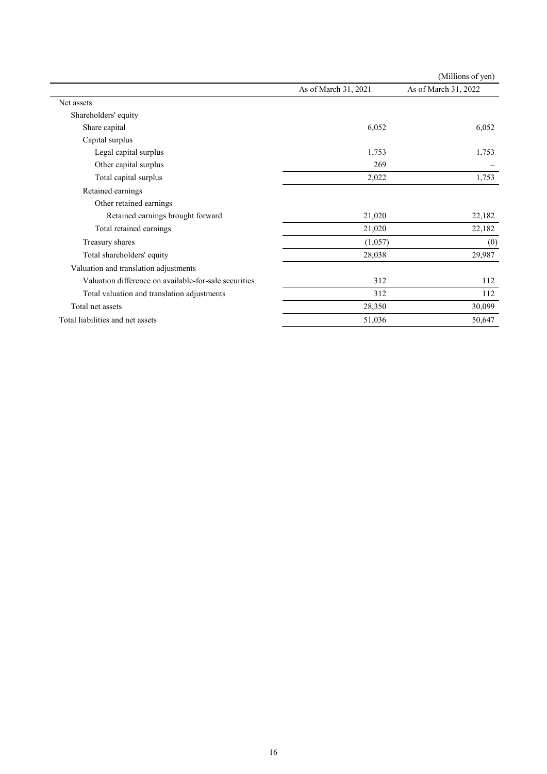|                                                       |                      | (Millions of yen)    |
|-------------------------------------------------------|----------------------|----------------------|
|                                                       | As of March 31, 2021 | As of March 31, 2022 |
| Net assets                                            |                      |                      |
| Shareholders' equity                                  |                      |                      |
| Share capital                                         | 6,052                | 6,052                |
| Capital surplus                                       |                      |                      |
| Legal capital surplus                                 | 1,753                | 1,753                |
| Other capital surplus                                 | 269                  |                      |
| Total capital surplus                                 | 2,022                | 1,753                |
| Retained earnings                                     |                      |                      |
| Other retained earnings                               |                      |                      |
| Retained earnings brought forward                     | 21,020               | 22,182               |
| Total retained earnings                               | 21,020               | 22,182               |
| Treasury shares                                       | (1,057)              | (0)                  |
| Total shareholders' equity                            | 28,038               | 29,987               |
| Valuation and translation adjustments                 |                      |                      |
| Valuation difference on available-for-sale securities | 312                  | 112                  |
| Total valuation and translation adjustments           | 312                  | 112                  |
| Total net assets                                      | 28,350               | 30,099               |
| Total liabilities and net assets                      | 51,036               | 50,647               |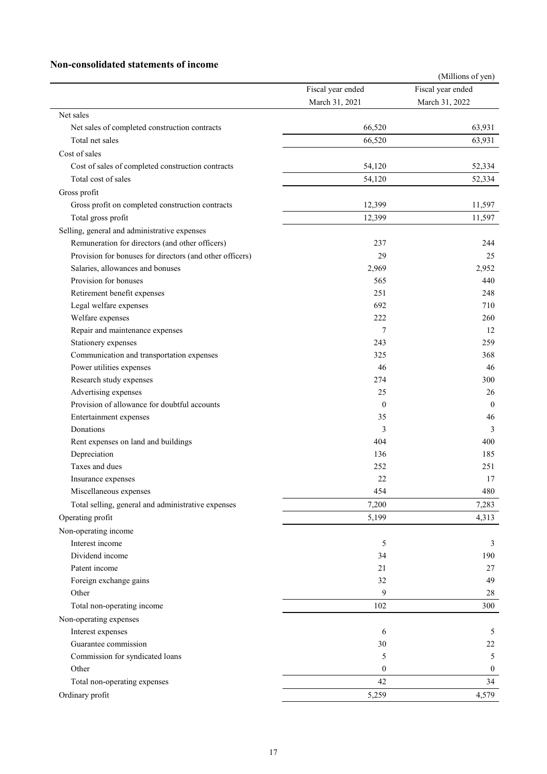### **Non-consolidated statements of income**

|                                                          |                   | (Millions of yen) |
|----------------------------------------------------------|-------------------|-------------------|
|                                                          | Fiscal year ended | Fiscal year ended |
|                                                          | March 31, 2021    | March 31, 2022    |
| Net sales                                                |                   |                   |
| Net sales of completed construction contracts            | 66,520            | 63,931            |
| Total net sales                                          | 66,520            | 63,931            |
| Cost of sales                                            |                   |                   |
| Cost of sales of completed construction contracts        | 54,120            | 52,334            |
| Total cost of sales                                      | 54,120            | 52,334            |
| Gross profit                                             |                   |                   |
| Gross profit on completed construction contracts         | 12,399            | 11,597            |
| Total gross profit                                       | 12,399            | 11,597            |
| Selling, general and administrative expenses             |                   |                   |
| Remuneration for directors (and other officers)          | 237               | 244               |
| Provision for bonuses for directors (and other officers) | 29                | 25                |
| Salaries, allowances and bonuses                         | 2,969             | 2.952             |
| Provision for bonuses                                    | 565               | 440               |
| Retirement benefit expenses                              | 251               | 248               |
| Legal welfare expenses                                   | 692               | 710               |
| Welfare expenses                                         | 222               | 260               |
| Repair and maintenance expenses                          | 7                 | 12                |
| Stationery expenses                                      | 243               | 259               |
| Communication and transportation expenses                | 325               | 368               |
| Power utilities expenses                                 | 46                | 46                |
| Research study expenses                                  | 274               | 300               |
| Advertising expenses                                     | 25                | 26                |
| Provision of allowance for doubtful accounts             | $\mathbf{0}$      | $\mathbf{0}$      |
| Entertainment expenses                                   | 35                | 46                |
| Donations                                                | 3                 | 3                 |
|                                                          | 404               | 400               |
| Rent expenses on land and buildings<br>Depreciation      | 136               | 185               |
| Taxes and dues                                           | 252               | 251               |
|                                                          | 22                | 17                |
| Insurance expenses                                       |                   |                   |
| Miscellaneous expenses                                   | 454               | 480               |
| Total selling, general and administrative expenses       | 7,200             | 7,283             |
| Operating profit                                         | 5,199             | 4,313             |
| Non-operating income                                     |                   |                   |
| Interest income                                          | 5                 | 3                 |
| Dividend income                                          | 34                | 190               |
| Patent income                                            | 21                | 27                |
| Foreign exchange gains                                   | 32                | 49                |
| Other                                                    | 9                 | 28                |
| Total non-operating income                               | 102               | 300               |
| Non-operating expenses                                   |                   |                   |
| Interest expenses                                        | 6                 | 5                 |
| Guarantee commission                                     | 30                | 22                |
| Commission for syndicated loans                          | 5                 | 5                 |
| Other                                                    | $\mathbf{0}$      | $\boldsymbol{0}$  |
| Total non-operating expenses                             | 42                | 34                |
| Ordinary profit                                          | 5,259             | 4,579             |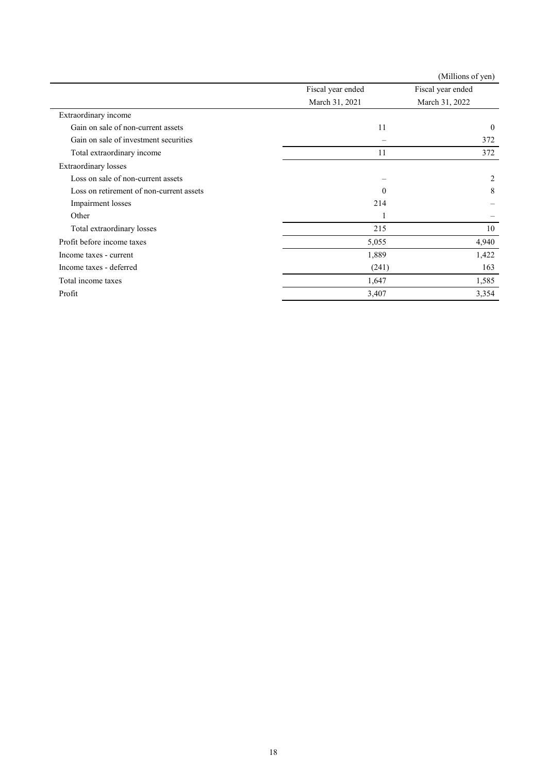|                                          |                   | (Millions of yen) |
|------------------------------------------|-------------------|-------------------|
|                                          | Fiscal year ended | Fiscal year ended |
|                                          | March 31, 2021    | March 31, 2022    |
| Extraordinary income                     |                   |                   |
| Gain on sale of non-current assets       | 11                | $\mathbf{0}$      |
| Gain on sale of investment securities    | $\equiv$          | 372               |
| Total extraordinary income               | 11                | 372               |
| <b>Extraordinary losses</b>              |                   |                   |
| Loss on sale of non-current assets       |                   | $\overline{c}$    |
| Loss on retirement of non-current assets | $\Omega$          | 8                 |
| Impairment losses                        | 214               |                   |
| Other                                    |                   |                   |
| Total extraordinary losses               | 215               | 10                |
| Profit before income taxes               | 5,055             | 4,940             |
| Income taxes - current                   | 1,889             | 1,422             |
| Income taxes - deferred                  | (241)             | 163               |
| Total income taxes                       | 1,647             | 1,585             |
| Profit                                   | 3,407             | 3,354             |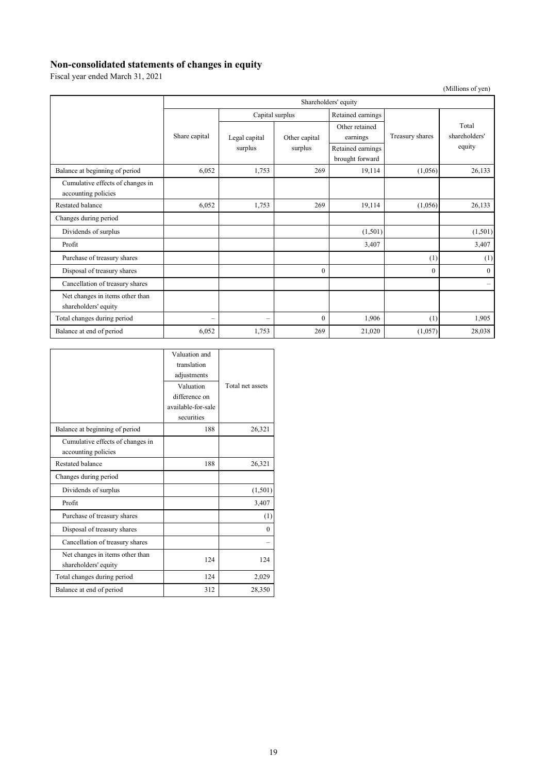## **Non-consolidated statements of changes in equity**

Fiscal year ended March 31, 2021

|                                                         | Shareholders' equity     |                          |               |                                      |                 |                          |
|---------------------------------------------------------|--------------------------|--------------------------|---------------|--------------------------------------|-----------------|--------------------------|
|                                                         |                          | Capital surplus          |               | Retained earnings                    |                 |                          |
|                                                         | Share capital            | Legal capital            | Other capital | Other retained<br>earnings           | Treasury shares | Total<br>shareholders'   |
|                                                         |                          | surplus                  | surplus       | Retained earnings<br>brought forward |                 | equity                   |
| Balance at beginning of period                          | 6,052                    | 1,753                    | 269           | 19,114                               | (1,056)         | 26,133                   |
| Cumulative effects of changes in<br>accounting policies |                          |                          |               |                                      |                 |                          |
| <b>Restated balance</b>                                 | 6,052                    | 1,753                    | 269           | 19,114                               | (1,056)         | 26,133                   |
| Changes during period                                   |                          |                          |               |                                      |                 |                          |
| Dividends of surplus                                    |                          |                          |               | (1,501)                              |                 | (1,501)                  |
| Profit                                                  |                          |                          |               | 3,407                                |                 | 3,407                    |
| Purchase of treasury shares                             |                          |                          |               |                                      | (1)             | (1)                      |
| Disposal of treasury shares                             |                          |                          | $\mathbf{0}$  |                                      | $\mathbf{0}$    | $\overline{0}$           |
| Cancellation of treasury shares                         |                          |                          |               |                                      |                 | $\overline{\phantom{m}}$ |
| Net changes in items other than<br>shareholders' equity |                          |                          |               |                                      |                 |                          |
| Total changes during period                             | $\overline{\phantom{0}}$ | $\overline{\phantom{0}}$ | $\Omega$      | 1,906                                | (1)             | 1,905                    |
| Balance at end of period                                | 6,052                    | 1,753                    | 269           | 21,020                               | (1,057)         | 28,038                   |

|                                  | Valuation and      |                  |
|----------------------------------|--------------------|------------------|
|                                  | translation        |                  |
|                                  | adjustments        |                  |
|                                  | Valuation          | Total net assets |
|                                  | difference on      |                  |
|                                  | available-for-sale |                  |
|                                  | securities         |                  |
| Balance at beginning of period   | 188                | 26,321           |
| Cumulative effects of changes in |                    |                  |
| accounting policies              |                    |                  |
| Restated balance                 | 188                | 26,321           |
| Changes during period            |                    |                  |
| Dividends of surplus             |                    | (1, 501)         |
| Profit                           |                    | 3,407            |
| Purchase of treasury shares      |                    | (1)              |
| Disposal of treasury shares      |                    | $\Omega$         |
| Cancellation of treasury shares  |                    |                  |
| Net changes in items other than  | 124                | 124              |
| shareholders' equity             |                    |                  |
| Total changes during period      | 124                | 2,029            |
| Balance at end of period         | 312                | 28,350           |